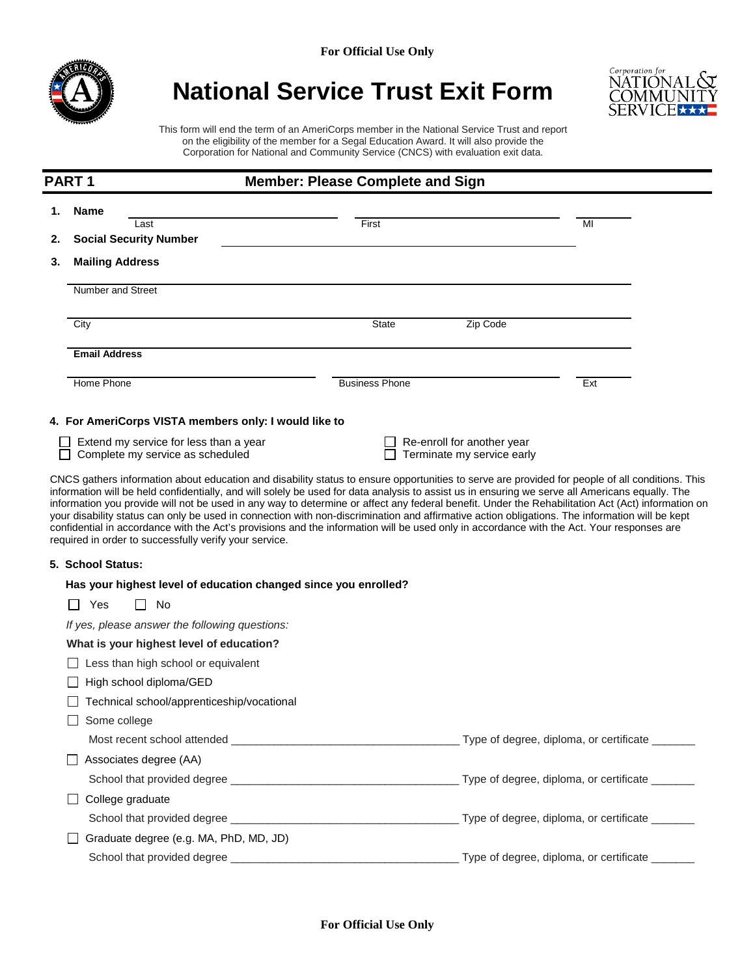

# **National Service Trust Exit Form**



This form will end the term of an AmeriCorps member in the National Service Trust and report on the eligibility of the member for a Segal Education Award. It will also provide the Corporation for National and Community Service (CNCS) with evaluation exit data.

| <b>PART1</b><br><b>Member: Please Complete and Sign</b> |                                                                                                                                                                                                                                                                                                                                                                                                                                                                                                                                 |                       |                                                          |     |  |
|---------------------------------------------------------|---------------------------------------------------------------------------------------------------------------------------------------------------------------------------------------------------------------------------------------------------------------------------------------------------------------------------------------------------------------------------------------------------------------------------------------------------------------------------------------------------------------------------------|-----------------------|----------------------------------------------------------|-----|--|
|                                                         | <b>Name</b>                                                                                                                                                                                                                                                                                                                                                                                                                                                                                                                     |                       |                                                          |     |  |
|                                                         | Last                                                                                                                                                                                                                                                                                                                                                                                                                                                                                                                            | First                 |                                                          | MI  |  |
| 2.                                                      | <b>Social Security Number</b>                                                                                                                                                                                                                                                                                                                                                                                                                                                                                                   |                       |                                                          |     |  |
| 3.                                                      | <b>Mailing Address</b>                                                                                                                                                                                                                                                                                                                                                                                                                                                                                                          |                       |                                                          |     |  |
|                                                         | Number and Street                                                                                                                                                                                                                                                                                                                                                                                                                                                                                                               |                       |                                                          |     |  |
|                                                         | City                                                                                                                                                                                                                                                                                                                                                                                                                                                                                                                            | <b>State</b>          | Zip Code                                                 |     |  |
|                                                         | <b>Email Address</b>                                                                                                                                                                                                                                                                                                                                                                                                                                                                                                            |                       |                                                          |     |  |
|                                                         | Home Phone                                                                                                                                                                                                                                                                                                                                                                                                                                                                                                                      | <b>Business Phone</b> |                                                          | Ext |  |
|                                                         | 4. For AmeriCorps VISTA members only: I would like to                                                                                                                                                                                                                                                                                                                                                                                                                                                                           |                       |                                                          |     |  |
|                                                         | Extend my service for less than a year<br>Complete my service as scheduled                                                                                                                                                                                                                                                                                                                                                                                                                                                      |                       | Re-enroll for another year<br>Terminate my service early |     |  |
|                                                         | information you provide will not be used in any way to determine or affect any federal benefit. Under the Rehabilitation Act (Act) information on<br>your disability status can only be used in connection with non-discrimination and affirmative action obligations. The information will be kept<br>confidential in accordance with the Act's provisions and the information will be used only in accordance with the Act. Your responses are<br>required in order to successfully verify your service.<br>5. School Status: |                       |                                                          |     |  |
|                                                         | Has your highest level of education changed since you enrolled?                                                                                                                                                                                                                                                                                                                                                                                                                                                                 |                       |                                                          |     |  |
|                                                         | Yes<br>No                                                                                                                                                                                                                                                                                                                                                                                                                                                                                                                       |                       |                                                          |     |  |
|                                                         | If yes, please answer the following questions:                                                                                                                                                                                                                                                                                                                                                                                                                                                                                  |                       |                                                          |     |  |
|                                                         | What is your highest level of education?                                                                                                                                                                                                                                                                                                                                                                                                                                                                                        |                       |                                                          |     |  |
|                                                         | Less than high school or equivalent                                                                                                                                                                                                                                                                                                                                                                                                                                                                                             |                       |                                                          |     |  |
|                                                         | High school diploma/GED                                                                                                                                                                                                                                                                                                                                                                                                                                                                                                         |                       |                                                          |     |  |
|                                                         | Technical school/apprenticeship/vocational                                                                                                                                                                                                                                                                                                                                                                                                                                                                                      |                       |                                                          |     |  |
|                                                         | Some college<br>$\Box$                                                                                                                                                                                                                                                                                                                                                                                                                                                                                                          |                       |                                                          |     |  |
|                                                         |                                                                                                                                                                                                                                                                                                                                                                                                                                                                                                                                 |                       |                                                          |     |  |
|                                                         | Associates degree (AA)                                                                                                                                                                                                                                                                                                                                                                                                                                                                                                          |                       |                                                          |     |  |
|                                                         |                                                                                                                                                                                                                                                                                                                                                                                                                                                                                                                                 |                       |                                                          |     |  |
|                                                         | College graduate                                                                                                                                                                                                                                                                                                                                                                                                                                                                                                                |                       |                                                          |     |  |
|                                                         |                                                                                                                                                                                                                                                                                                                                                                                                                                                                                                                                 |                       |                                                          |     |  |
|                                                         | Graduate degree (e.g. MA, PhD, MD, JD)                                                                                                                                                                                                                                                                                                                                                                                                                                                                                          |                       |                                                          |     |  |
|                                                         |                                                                                                                                                                                                                                                                                                                                                                                                                                                                                                                                 |                       |                                                          |     |  |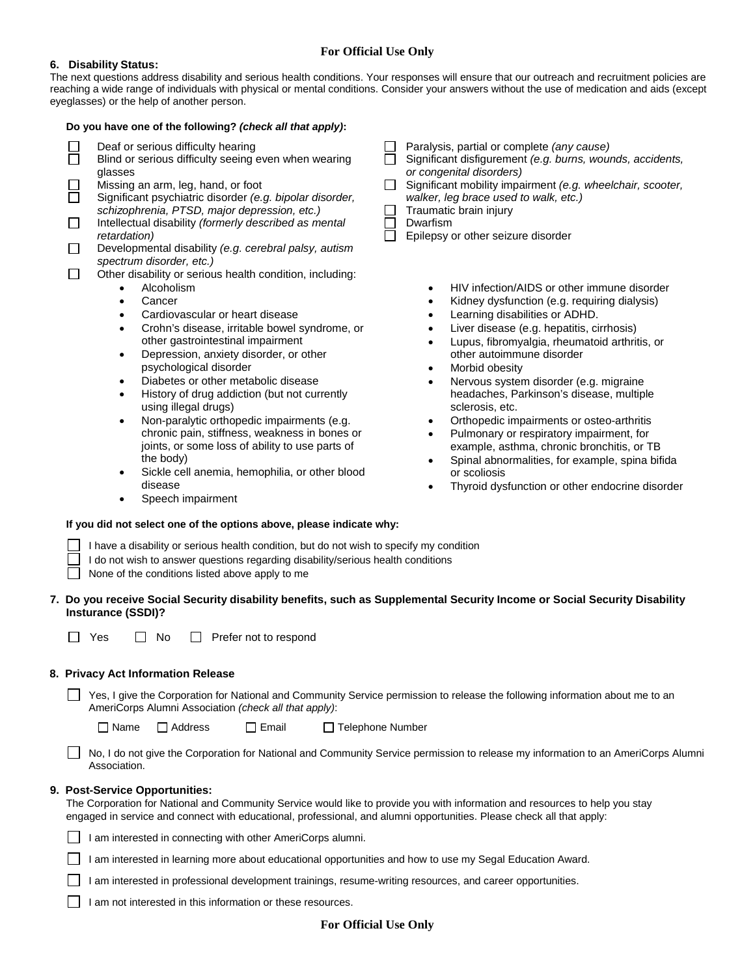# **For Official Use Only**

#### **6. Disability Status:**

The next questions address disability and serious health conditions. Your responses will ensure that our outreach and recruitment policies are reaching a wide range of individuals with physical or mental conditions. Consider your answers without the use of medication and aids (except eyeglasses) or the help of another person.

|                   | Do you have one of the following? (check all that apply):                                                                                                                                                                                                                                                                                                                                                                                                                                                                                                                                                                                                                                                                                                                                                                                                                                                                                                                                                                                                                                                                                                                                                                                                                                                                                          |  |                                                                                                                                                                                                                                                                                                                                                                                                                                                                                                                                                                                                                                                                                                                                                                                                                                                                                                                                                                                                                                                                                                                           |  |  |
|-------------------|----------------------------------------------------------------------------------------------------------------------------------------------------------------------------------------------------------------------------------------------------------------------------------------------------------------------------------------------------------------------------------------------------------------------------------------------------------------------------------------------------------------------------------------------------------------------------------------------------------------------------------------------------------------------------------------------------------------------------------------------------------------------------------------------------------------------------------------------------------------------------------------------------------------------------------------------------------------------------------------------------------------------------------------------------------------------------------------------------------------------------------------------------------------------------------------------------------------------------------------------------------------------------------------------------------------------------------------------------|--|---------------------------------------------------------------------------------------------------------------------------------------------------------------------------------------------------------------------------------------------------------------------------------------------------------------------------------------------------------------------------------------------------------------------------------------------------------------------------------------------------------------------------------------------------------------------------------------------------------------------------------------------------------------------------------------------------------------------------------------------------------------------------------------------------------------------------------------------------------------------------------------------------------------------------------------------------------------------------------------------------------------------------------------------------------------------------------------------------------------------------|--|--|
| $\Box$<br>$\perp$ | Deaf or serious difficulty hearing<br>Blind or serious difficulty seeing even when wearing<br>glasses<br>Missing an arm, leg, hand, or foot<br>Significant psychiatric disorder (e.g. bipolar disorder,<br>schizophrenia, PTSD, major depression, etc.)<br>Intellectual disability (formerly described as mental<br>retardation)<br>Developmental disability (e.g. cerebral palsy, autism<br>spectrum disorder, etc.)<br>Other disability or serious health condition, including:<br>Alcoholism<br>$\bullet$<br>Cancer<br>$\bullet$<br>Cardiovascular or heart disease<br>$\bullet$<br>Crohn's disease, irritable bowel syndrome, or<br>$\bullet$<br>other gastrointestinal impairment<br>Depression, anxiety disorder, or other<br>$\bullet$<br>psychological disorder<br>Diabetes or other metabolic disease<br>$\bullet$<br>History of drug addiction (but not currently<br>$\bullet$<br>using illegal drugs)<br>Non-paralytic orthopedic impairments (e.g.<br>$\bullet$<br>chronic pain, stiffness, weakness in bones or<br>joints, or some loss of ability to use parts of<br>the body)<br>Sickle cell anemia, hemophilia, or other blood<br>disease<br>Speech impairment<br>If you did not select one of the options above, please indicate why:<br>I have a disability or serious health condition, but do not wish to specify my condition |  | Paralysis, partial or complete (any cause)<br>Significant disfigurement (e.g. burns, wounds, accidents,<br>or congenital disorders)<br>Significant mobility impairment (e.g. wheelchair, scooter,<br>walker, leg brace used to walk, etc.)<br>Traumatic brain injury<br>Dwarfism<br>Epilepsy or other seizure disorder<br>HIV infection/AIDS or other immune disorder<br>$\bullet$<br>Kidney dysfunction (e.g. requiring dialysis)<br>$\bullet$<br>Learning disabilities or ADHD.<br>$\bullet$<br>Liver disease (e.g. hepatitis, cirrhosis)<br>$\bullet$<br>Lupus, fibromyalgia, rheumatoid arthritis, or<br>$\bullet$<br>other autoimmune disorder<br>Morbid obesity<br>$\bullet$<br>Nervous system disorder (e.g. migraine<br>$\bullet$<br>headaches, Parkinson's disease, multiple<br>sclerosis, etc.<br>Orthopedic impairments or osteo-arthritis<br>$\bullet$<br>Pulmonary or respiratory impairment, for<br>$\bullet$<br>example, asthma, chronic bronchitis, or TB<br>Spinal abnormalities, for example, spina bifida<br>$\bullet$<br>or scoliosis<br>Thyroid dysfunction or other endocrine disorder<br>$\bullet$ |  |  |
|                   | I do not wish to answer questions regarding disability/serious health conditions<br>None of the conditions listed above apply to me                                                                                                                                                                                                                                                                                                                                                                                                                                                                                                                                                                                                                                                                                                                                                                                                                                                                                                                                                                                                                                                                                                                                                                                                                |  |                                                                                                                                                                                                                                                                                                                                                                                                                                                                                                                                                                                                                                                                                                                                                                                                                                                                                                                                                                                                                                                                                                                           |  |  |
|                   | 7. Do you receive Social Security disability benefits, such as Supplemental Security Income or Social Security Disability<br><b>Insturance (SSDI)?</b>                                                                                                                                                                                                                                                                                                                                                                                                                                                                                                                                                                                                                                                                                                                                                                                                                                                                                                                                                                                                                                                                                                                                                                                             |  |                                                                                                                                                                                                                                                                                                                                                                                                                                                                                                                                                                                                                                                                                                                                                                                                                                                                                                                                                                                                                                                                                                                           |  |  |
|                   | Yes<br>No<br>Prefer not to respond<br>$\mathsf{L}$                                                                                                                                                                                                                                                                                                                                                                                                                                                                                                                                                                                                                                                                                                                                                                                                                                                                                                                                                                                                                                                                                                                                                                                                                                                                                                 |  |                                                                                                                                                                                                                                                                                                                                                                                                                                                                                                                                                                                                                                                                                                                                                                                                                                                                                                                                                                                                                                                                                                                           |  |  |
|                   | 8. Privacy Act Information Release                                                                                                                                                                                                                                                                                                                                                                                                                                                                                                                                                                                                                                                                                                                                                                                                                                                                                                                                                                                                                                                                                                                                                                                                                                                                                                                 |  |                                                                                                                                                                                                                                                                                                                                                                                                                                                                                                                                                                                                                                                                                                                                                                                                                                                                                                                                                                                                                                                                                                                           |  |  |
|                   | Yes, I give the Corporation for National and Community Service permission to release the following information about me to an<br>AmeriCorps Alumni Association (check all that apply):                                                                                                                                                                                                                                                                                                                                                                                                                                                                                                                                                                                                                                                                                                                                                                                                                                                                                                                                                                                                                                                                                                                                                             |  |                                                                                                                                                                                                                                                                                                                                                                                                                                                                                                                                                                                                                                                                                                                                                                                                                                                                                                                                                                                                                                                                                                                           |  |  |
|                   | $\Box$ Address<br>$\Box$ Name<br>$\Box$ Email<br>□ Telephone Number                                                                                                                                                                                                                                                                                                                                                                                                                                                                                                                                                                                                                                                                                                                                                                                                                                                                                                                                                                                                                                                                                                                                                                                                                                                                                |  |                                                                                                                                                                                                                                                                                                                                                                                                                                                                                                                                                                                                                                                                                                                                                                                                                                                                                                                                                                                                                                                                                                                           |  |  |
|                   | Association.                                                                                                                                                                                                                                                                                                                                                                                                                                                                                                                                                                                                                                                                                                                                                                                                                                                                                                                                                                                                                                                                                                                                                                                                                                                                                                                                       |  | No, I do not give the Corporation for National and Community Service permission to release my information to an AmeriCorps Alumni                                                                                                                                                                                                                                                                                                                                                                                                                                                                                                                                                                                                                                                                                                                                                                                                                                                                                                                                                                                         |  |  |
|                   | 9. Post-Service Opportunities:<br>The Corporation for National and Community Service would like to provide you with information and resources to help you stay<br>engaged in service and connect with educational, professional, and alumni opportunities. Please check all that apply:                                                                                                                                                                                                                                                                                                                                                                                                                                                                                                                                                                                                                                                                                                                                                                                                                                                                                                                                                                                                                                                            |  |                                                                                                                                                                                                                                                                                                                                                                                                                                                                                                                                                                                                                                                                                                                                                                                                                                                                                                                                                                                                                                                                                                                           |  |  |
|                   | I am interested in connecting with other AmeriCorps alumni.                                                                                                                                                                                                                                                                                                                                                                                                                                                                                                                                                                                                                                                                                                                                                                                                                                                                                                                                                                                                                                                                                                                                                                                                                                                                                        |  |                                                                                                                                                                                                                                                                                                                                                                                                                                                                                                                                                                                                                                                                                                                                                                                                                                                                                                                                                                                                                                                                                                                           |  |  |
|                   | I am interested in learning more about educational opportunities and how to use my Segal Education Award.                                                                                                                                                                                                                                                                                                                                                                                                                                                                                                                                                                                                                                                                                                                                                                                                                                                                                                                                                                                                                                                                                                                                                                                                                                          |  |                                                                                                                                                                                                                                                                                                                                                                                                                                                                                                                                                                                                                                                                                                                                                                                                                                                                                                                                                                                                                                                                                                                           |  |  |
|                   | am interested in professional development trainings, resume-writing resources, and career opportunities.                                                                                                                                                                                                                                                                                                                                                                                                                                                                                                                                                                                                                                                                                                                                                                                                                                                                                                                                                                                                                                                                                                                                                                                                                                           |  |                                                                                                                                                                                                                                                                                                                                                                                                                                                                                                                                                                                                                                                                                                                                                                                                                                                                                                                                                                                                                                                                                                                           |  |  |

 $\Box$  I am not interested in this information or these resources.

## **For Official Use Only**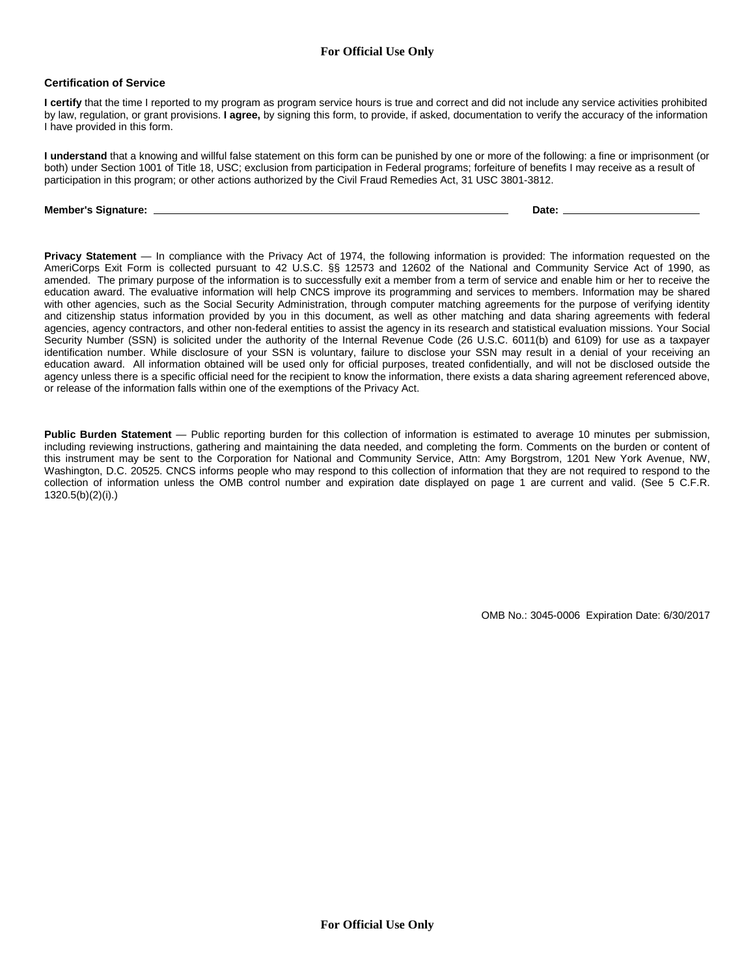## **For Official Use Only**

#### **Certification of Service**

**I certify** that the time I reported to my program as program service hours is true and correct and did not include any service activities prohibited by law, regulation, or grant provisions. **I agree,** by signing this form, to provide, if asked, documentation to verify the accuracy of the information I have provided in this form.

**I understand** that a knowing and willful false statement on this form can be punished by one or more of the following: a fine or imprisonment (or both) under Section 1001 of Title 18, USC; exclusion from participation in Federal programs; forfeiture of benefits I may receive as a result of participation in this program; or other actions authorized by the Civil Fraud Remedies Act, 31 USC 3801-3812.

#### **Member's Signature: Date:**

**Privacy Statement** — In compliance with the Privacy Act of 1974, the following information is provided: The information requested on the AmeriCorps Exit Form is collected pursuant to 42 U.S.C. §§ 12573 and 12602 of the National and Community Service Act of 1990, as amended. The primary purpose of the information is to successfully exit a member from a term of service and enable him or her to receive the education award. The evaluative information will help CNCS improve its programming and services to members. Information may be shared with other agencies, such as the Social Security Administration, through computer matching agreements for the purpose of verifying identity and citizenship status information provided by you in this document, as well as other matching and data sharing agreements with federal agencies, agency contractors, and other non-federal entities to assist the agency in its research and statistical evaluation missions. Your Social Security Number (SSN) is solicited under the authority of the Internal Revenue Code (26 U.S.C. 6011(b) and 6109) for use as a taxpayer identification number. While disclosure of your SSN is voluntary, failure to disclose your SSN may result in a denial of your receiving an education award. All information obtained will be used only for official purposes, treated confidentially, and will not be disclosed outside the agency unless there is a specific official need for the recipient to know the information, there exists a data sharing agreement referenced above, or release of the information falls within one of the exemptions of the Privacy Act.

**Public Burden Statement** — Public reporting burden for this collection of information is estimated to average 10 minutes per submission, including reviewing instructions, gathering and maintaining the data needed, and completing the form. Comments on the burden or content of this instrument may be sent to the Corporation for National and Community Service, Attn: Amy Borgstrom, 1201 New York Avenue, NW, Washington, D.C. 20525. CNCS informs people who may respond to this collection of information that they are not required to respond to the collection of information unless the OMB control number and expiration date displayed on page 1 are current and valid. (See 5 C.F.R. 1320.5(b)(2)(i).)

OMB No.: 3045-0006 Expiration Date: 6/30/2017